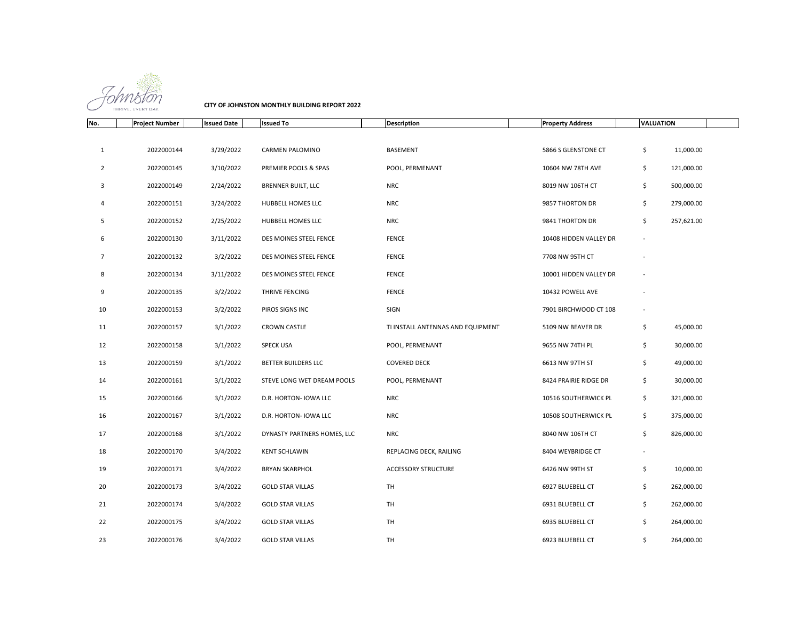

**CITY OF JOHNSTON MONTHLY BUILDING REPORT 2022**

| No.            | <b>Project Number</b> | <b>Issued Date</b> | <b>Issued To</b>            | <b>Description</b>                | <b>Property Address</b> | <b>VALUATION</b>         |            |
|----------------|-----------------------|--------------------|-----------------------------|-----------------------------------|-------------------------|--------------------------|------------|
|                |                       |                    |                             |                                   |                         |                          |            |
| $\mathbf{1}$   | 2022000144            | 3/29/2022          | CARMEN PALOMINO             | <b>BASEMENT</b>                   | 5866 S GLENSTONE CT     | \$                       | 11,000.00  |
| $\overline{2}$ | 2022000145            | 3/10/2022          | PREMIER POOLS & SPAS        | POOL, PERMENANT                   | 10604 NW 78TH AVE       | \$                       | 121,000.00 |
| 3              | 2022000149            | 2/24/2022          | <b>BRENNER BUILT, LLC</b>   | <b>NRC</b>                        | 8019 NW 106TH CT        | \$                       | 500,000.00 |
| 4              | 2022000151            | 3/24/2022          | HUBBELL HOMES LLC           | <b>NRC</b>                        | 9857 THORTON DR         | \$                       | 279,000.00 |
| 5              | 2022000152            | 2/25/2022          | HUBBELL HOMES LLC           | <b>NRC</b>                        | 9841 THORTON DR         | \$                       | 257,621.00 |
| 6              | 2022000130            | 3/11/2022          | DES MOINES STEEL FENCE      | <b>FENCE</b>                      | 10408 HIDDEN VALLEY DR  | $\overline{\phantom{a}}$ |            |
| $\overline{7}$ | 2022000132            | 3/2/2022           | DES MOINES STEEL FENCE      | <b>FENCE</b>                      | 7708 NW 95TH CT         |                          |            |
| 8              | 2022000134            | 3/11/2022          | DES MOINES STEEL FENCE      | <b>FENCE</b>                      | 10001 HIDDEN VALLEY DR  |                          |            |
| 9              | 2022000135            | 3/2/2022           | THRIVE FENCING              | FENCE                             | 10432 POWELL AVE        |                          |            |
| 10             | 2022000153            | 3/2/2022           | PIROS SIGNS INC             | SIGN                              | 7901 BIRCHWOOD CT 108   |                          |            |
| 11             | 2022000157            | 3/1/2022           | <b>CROWN CASTLE</b>         | TI INSTALL ANTENNAS AND EQUIPMENT | 5109 NW BEAVER DR       | \$                       | 45,000.00  |
| 12             | 2022000158            | 3/1/2022           | <b>SPECK USA</b>            | POOL, PERMENANT                   | 9655 NW 74TH PL         | \$                       | 30,000.00  |
| 13             | 2022000159            | 3/1/2022           | <b>BETTER BUILDERS LLC</b>  | <b>COVERED DECK</b>               | 6613 NW 97TH ST         | \$                       | 49,000.00  |
| 14             | 2022000161            | 3/1/2022           | STEVE LONG WET DREAM POOLS  | POOL, PERMENANT                   | 8424 PRAIRIE RIDGE DR   | \$                       | 30,000.00  |
| 15             | 2022000166            | 3/1/2022           | D.R. HORTON- IOWA LLC       | <b>NRC</b>                        | 10516 SOUTHERWICK PL    | \$                       | 321,000.00 |
| 16             | 2022000167            | 3/1/2022           | D.R. HORTON- IOWA LLC       | <b>NRC</b>                        | 10508 SOUTHERWICK PL    | \$                       | 375,000.00 |
| 17             | 2022000168            | 3/1/2022           | DYNASTY PARTNERS HOMES, LLC | <b>NRC</b>                        | 8040 NW 106TH CT        | \$                       | 826,000.00 |
| 18             | 2022000170            | 3/4/2022           | <b>KENT SCHLAWIN</b>        | REPLACING DECK, RAILING           | 8404 WEYBRIDGE CT       |                          |            |
| 19             | 2022000171            | 3/4/2022           | <b>BRYAN SKARPHOL</b>       | <b>ACCESSORY STRUCTURE</b>        | 6426 NW 99TH ST         | \$                       | 10,000.00  |
| 20             | 2022000173            | 3/4/2022           | <b>GOLD STAR VILLAS</b>     | TH                                | 6927 BLUEBELL CT        | \$                       | 262,000.00 |
| 21             | 2022000174            | 3/4/2022           | <b>GOLD STAR VILLAS</b>     | <b>TH</b>                         | 6931 BLUEBELL CT        | \$                       | 262,000.00 |
| 22             | 2022000175            | 3/4/2022           | <b>GOLD STAR VILLAS</b>     | <b>TH</b>                         | 6935 BLUEBELL CT        | \$                       | 264,000.00 |
| 23             | 2022000176            | 3/4/2022           | <b>GOLD STAR VILLAS</b>     | TH                                | 6923 BLUEBELL CT        | \$                       | 264,000.00 |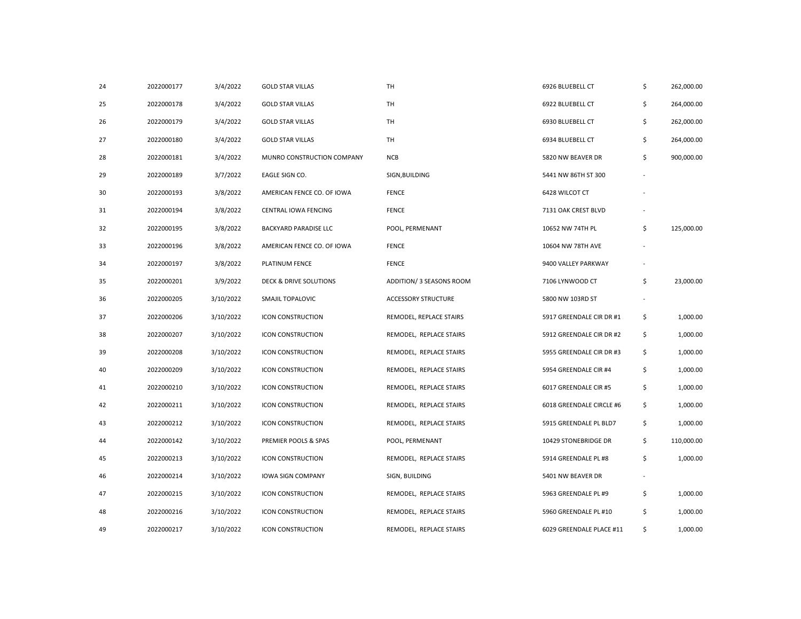| 24 | 2022000177 | 3/4/2022  | <b>GOLD STAR VILLAS</b>    | TH                         | 6926 BLUEBELL CT         | \$                       | 262,000.00 |
|----|------------|-----------|----------------------------|----------------------------|--------------------------|--------------------------|------------|
| 25 | 2022000178 | 3/4/2022  | <b>GOLD STAR VILLAS</b>    | TH                         | 6922 BLUEBELL CT         | \$                       | 264,000.00 |
| 26 | 2022000179 | 3/4/2022  | <b>GOLD STAR VILLAS</b>    | TH                         | 6930 BLUEBELL CT         | \$                       | 262,000.00 |
| 27 | 2022000180 | 3/4/2022  | <b>GOLD STAR VILLAS</b>    | TH                         | 6934 BLUEBELL CT         | \$                       | 264,000.00 |
| 28 | 2022000181 | 3/4/2022  | MUNRO CONSTRUCTION COMPANY | <b>NCB</b>                 | 5820 NW BEAVER DR        | \$                       | 900,000.00 |
| 29 | 2022000189 | 3/7/2022  | EAGLE SIGN CO.             | SIGN, BUILDING             | 5441 NW 86TH ST 300      |                          |            |
| 30 | 2022000193 | 3/8/2022  | AMERICAN FENCE CO. OF IOWA | <b>FENCE</b>               | 6428 WILCOT CT           |                          |            |
| 31 | 2022000194 | 3/8/2022  | CENTRAL IOWA FENCING       | <b>FENCE</b>               | 7131 OAK CREST BLVD      |                          |            |
| 32 | 2022000195 | 3/8/2022  | BACKYARD PARADISE LLC      | POOL, PERMENANT            | 10652 NW 74TH PL         | \$                       | 125,000.00 |
| 33 | 2022000196 | 3/8/2022  | AMERICAN FENCE CO. OF IOWA | <b>FENCE</b>               | 10604 NW 78TH AVE        |                          |            |
| 34 | 2022000197 | 3/8/2022  | PLATINUM FENCE             | <b>FENCE</b>               | 9400 VALLEY PARKWAY      |                          |            |
| 35 | 2022000201 | 3/9/2022  | DECK & DRIVE SOLUTIONS     | ADDITION/ 3 SEASONS ROOM   | 7106 LYNWOOD CT          | \$                       | 23,000.00  |
| 36 | 2022000205 | 3/10/2022 | SMAJIL TOPALOVIC           | <b>ACCESSORY STRUCTURE</b> | 5800 NW 103RD ST         | $\overline{\phantom{a}}$ |            |
| 37 | 2022000206 | 3/10/2022 | <b>ICON CONSTRUCTION</b>   | REMODEL, REPLACE STAIRS    | 5917 GREENDALE CIR DR #1 | \$                       | 1,000.00   |
| 38 | 2022000207 | 3/10/2022 | <b>ICON CONSTRUCTION</b>   | REMODEL, REPLACE STAIRS    | 5912 GREENDALE CIR DR #2 | \$                       | 1,000.00   |
| 39 | 2022000208 | 3/10/2022 | <b>ICON CONSTRUCTION</b>   | REMODEL, REPLACE STAIRS    | 5955 GREENDALE CIR DR #3 | \$                       | 1,000.00   |
| 40 | 2022000209 | 3/10/2022 | <b>ICON CONSTRUCTION</b>   | REMODEL, REPLACE STAIRS    | 5954 GREENDALE CIR #4    | \$                       | 1,000.00   |
| 41 | 2022000210 | 3/10/2022 | <b>ICON CONSTRUCTION</b>   | REMODEL, REPLACE STAIRS    | 6017 GREENDALE CIR #5    | \$                       | 1,000.00   |
| 42 | 2022000211 | 3/10/2022 | ICON CONSTRUCTION          | REMODEL, REPLACE STAIRS    | 6018 GREENDALE CIRCLE #6 | \$                       | 1,000.00   |
| 43 | 2022000212 | 3/10/2022 | ICON CONSTRUCTION          | REMODEL, REPLACE STAIRS    | 5915 GREENDALE PL BLD7   | \$                       | 1,000.00   |
| 44 | 2022000142 | 3/10/2022 | PREMIER POOLS & SPAS       | POOL, PERMENANT            | 10429 STONEBRIDGE DR     | \$                       | 110,000.00 |
| 45 | 2022000213 | 3/10/2022 | ICON CONSTRUCTION          | REMODEL, REPLACE STAIRS    | 5914 GREENDALE PL #8     | \$                       | 1,000.00   |
| 46 | 2022000214 | 3/10/2022 | <b>IOWA SIGN COMPANY</b>   | SIGN, BUILDING             | 5401 NW BEAVER DR        |                          |            |
| 47 | 2022000215 | 3/10/2022 | <b>ICON CONSTRUCTION</b>   | REMODEL, REPLACE STAIRS    | 5963 GREENDALE PL #9     | \$                       | 1,000.00   |
| 48 | 2022000216 | 3/10/2022 | <b>ICON CONSTRUCTION</b>   | REMODEL, REPLACE STAIRS    | 5960 GREENDALE PL #10    | \$                       | 1,000.00   |
| 49 | 2022000217 | 3/10/2022 | <b>ICON CONSTRUCTION</b>   | REMODEL, REPLACE STAIRS    | 6029 GREENDALE PLACE #11 | \$                       | 1,000.00   |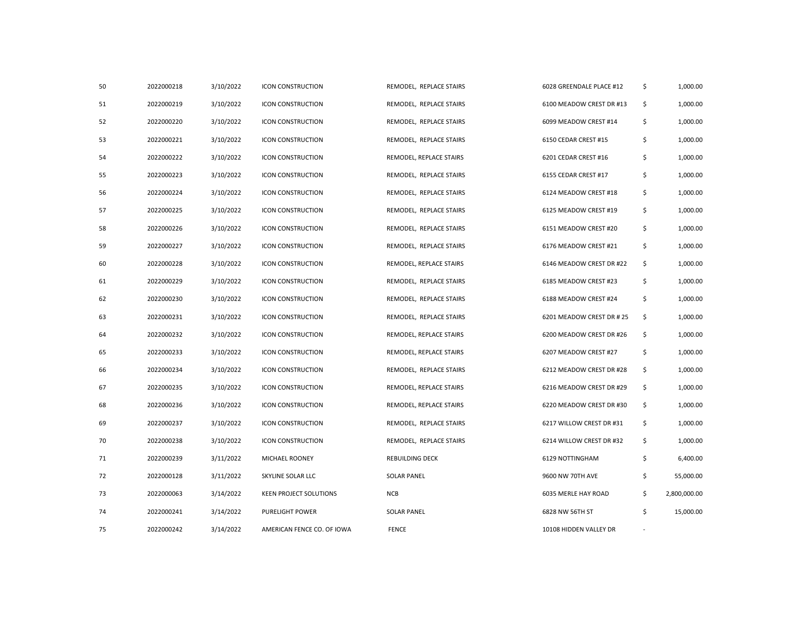| 50 | 2022000218 | 3/10/2022 | <b>ICON CONSTRUCTION</b>   | REMODEL, REPLACE STAIRS | 6028 GREENDALE PLACE #12  | \$                       | 1,000.00     |
|----|------------|-----------|----------------------------|-------------------------|---------------------------|--------------------------|--------------|
| 51 | 2022000219 | 3/10/2022 | <b>ICON CONSTRUCTION</b>   | REMODEL, REPLACE STAIRS | 6100 MEADOW CREST DR #13  | \$                       | 1,000.00     |
| 52 | 2022000220 | 3/10/2022 | <b>ICON CONSTRUCTION</b>   | REMODEL, REPLACE STAIRS | 6099 MEADOW CREST #14     | \$                       | 1,000.00     |
| 53 | 2022000221 | 3/10/2022 | <b>ICON CONSTRUCTION</b>   | REMODEL, REPLACE STAIRS | 6150 CEDAR CREST #15      | \$                       | 1,000.00     |
| 54 | 2022000222 | 3/10/2022 | ICON CONSTRUCTION          | REMODEL, REPLACE STAIRS | 6201 CEDAR CREST #16      | \$                       | 1,000.00     |
| 55 | 2022000223 | 3/10/2022 | ICON CONSTRUCTION          | REMODEL, REPLACE STAIRS | 6155 CEDAR CREST #17      | \$                       | 1,000.00     |
| 56 | 2022000224 | 3/10/2022 | ICON CONSTRUCTION          | REMODEL, REPLACE STAIRS | 6124 MEADOW CREST #18     | \$                       | 1,000.00     |
| 57 | 2022000225 | 3/10/2022 | ICON CONSTRUCTION          | REMODEL, REPLACE STAIRS | 6125 MEADOW CREST #19     | \$                       | 1,000.00     |
| 58 | 2022000226 | 3/10/2022 | ICON CONSTRUCTION          | REMODEL, REPLACE STAIRS | 6151 MEADOW CREST #20     | \$                       | 1,000.00     |
| 59 | 2022000227 | 3/10/2022 | ICON CONSTRUCTION          | REMODEL, REPLACE STAIRS | 6176 MEADOW CREST #21     | \$                       | 1,000.00     |
| 60 | 2022000228 | 3/10/2022 | ICON CONSTRUCTION          | REMODEL, REPLACE STAIRS | 6146 MEADOW CREST DR #22  | \$                       | 1,000.00     |
| 61 | 2022000229 | 3/10/2022 | <b>ICON CONSTRUCTION</b>   | REMODEL, REPLACE STAIRS | 6185 MEADOW CREST #23     | \$                       | 1,000.00     |
| 62 | 2022000230 | 3/10/2022 | ICON CONSTRUCTION          | REMODEL, REPLACE STAIRS | 6188 MEADOW CREST #24     | \$                       | 1,000.00     |
| 63 | 2022000231 | 3/10/2022 | ICON CONSTRUCTION          | REMODEL, REPLACE STAIRS | 6201 MEADOW CREST DR # 25 | \$                       | 1,000.00     |
| 64 | 2022000232 | 3/10/2022 | ICON CONSTRUCTION          | REMODEL, REPLACE STAIRS | 6200 MEADOW CREST DR #26  | \$                       | 1,000.00     |
| 65 | 2022000233 | 3/10/2022 | <b>ICON CONSTRUCTION</b>   | REMODEL, REPLACE STAIRS | 6207 MEADOW CREST #27     | \$                       | 1,000.00     |
| 66 | 2022000234 | 3/10/2022 | <b>ICON CONSTRUCTION</b>   | REMODEL, REPLACE STAIRS | 6212 MEADOW CREST DR #28  | \$                       | 1,000.00     |
| 67 | 2022000235 | 3/10/2022 | <b>ICON CONSTRUCTION</b>   | REMODEL, REPLACE STAIRS | 6216 MEADOW CREST DR #29  | \$                       | 1,000.00     |
| 68 | 2022000236 | 3/10/2022 | <b>ICON CONSTRUCTION</b>   | REMODEL, REPLACE STAIRS | 6220 MEADOW CREST DR #30  | \$                       | 1,000.00     |
| 69 | 2022000237 | 3/10/2022 | ICON CONSTRUCTION          | REMODEL, REPLACE STAIRS | 6217 WILLOW CREST DR #31  | \$                       | 1,000.00     |
| 70 | 2022000238 | 3/10/2022 | ICON CONSTRUCTION          | REMODEL, REPLACE STAIRS | 6214 WILLOW CREST DR #32  | \$                       | 1,000.00     |
| 71 | 2022000239 | 3/11/2022 | MICHAEL ROONEY             | REBUILDING DECK         | 6129 NOTTINGHAM           | \$                       | 6,400.00     |
| 72 | 2022000128 | 3/11/2022 | SKYLINE SOLAR LLC          | <b>SOLAR PANEL</b>      | 9600 NW 70TH AVE          | \$                       | 55,000.00    |
| 73 | 2022000063 | 3/14/2022 | KEEN PROJECT SOLUTIONS     | <b>NCB</b>              | 6035 MERLE HAY ROAD       | \$                       | 2,800,000.00 |
| 74 | 2022000241 | 3/14/2022 | PURELIGHT POWER            | <b>SOLAR PANEL</b>      | 6828 NW 56TH ST           | \$                       | 15,000.00    |
| 75 | 2022000242 | 3/14/2022 | AMERICAN FENCE CO. OF IOWA | <b>FENCE</b>            | 10108 HIDDEN VALLEY DR    | $\overline{\phantom{a}}$ |              |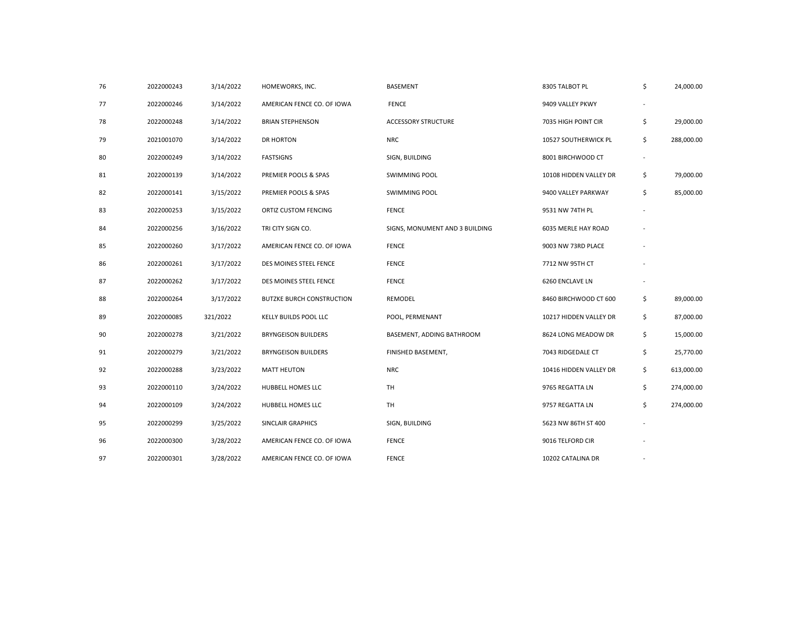| 76 | 2022000243 | 3/14/2022 | HOMEWORKS, INC.                  | <b>BASEMENT</b>                | 8305 TALBOT PL         | \$                       | 24,000.00  |
|----|------------|-----------|----------------------------------|--------------------------------|------------------------|--------------------------|------------|
| 77 | 2022000246 | 3/14/2022 | AMERICAN FENCE CO. OF IOWA       | <b>FENCE</b>                   | 9409 VALLEY PKWY       |                          |            |
| 78 | 2022000248 | 3/14/2022 | <b>BRIAN STEPHENSON</b>          | <b>ACCESSORY STRUCTURE</b>     | 7035 HIGH POINT CIR    | \$                       | 29,000.00  |
| 79 | 2021001070 | 3/14/2022 | DR HORTON                        | <b>NRC</b>                     | 10527 SOUTHERWICK PL   | \$                       | 288,000.00 |
| 80 | 2022000249 | 3/14/2022 | <b>FASTSIGNS</b>                 | SIGN, BUILDING                 | 8001 BIRCHWOOD CT      | $\overline{\phantom{a}}$ |            |
| 81 | 2022000139 | 3/14/2022 | PREMIER POOLS & SPAS             | <b>SWIMMING POOL</b>           | 10108 HIDDEN VALLEY DR | \$                       | 79,000.00  |
| 82 | 2022000141 | 3/15/2022 | PREMIER POOLS & SPAS             | <b>SWIMMING POOL</b>           | 9400 VALLEY PARKWAY    | \$                       | 85,000.00  |
| 83 | 2022000253 | 3/15/2022 | ORTIZ CUSTOM FENCING             | <b>FENCE</b>                   | 9531 NW 74TH PL        |                          |            |
| 84 | 2022000256 | 3/16/2022 | TRI CITY SIGN CO.                | SIGNS, MONUMENT AND 3 BUILDING | 6035 MERLE HAY ROAD    |                          |            |
| 85 | 2022000260 | 3/17/2022 | AMERICAN FENCE CO. OF IOWA       | <b>FENCE</b>                   | 9003 NW 73RD PLACE     |                          |            |
| 86 | 2022000261 | 3/17/2022 | DES MOINES STEEL FENCE           | <b>FENCE</b>                   | 7712 NW 95TH CT        |                          |            |
| 87 | 2022000262 | 3/17/2022 | DES MOINES STEEL FENCE           | <b>FENCE</b>                   | 6260 ENCLAVE LN        |                          |            |
| 88 | 2022000264 | 3/17/2022 | <b>BUTZKE BURCH CONSTRUCTION</b> | REMODEL                        | 8460 BIRCHWOOD CT 600  | \$                       | 89,000.00  |
| 89 | 2022000085 | 321/2022  | KELLY BUILDS POOL LLC            | POOL, PERMENANT                | 10217 HIDDEN VALLEY DR | \$                       | 87,000.00  |
| 90 | 2022000278 | 3/21/2022 | <b>BRYNGEISON BUILDERS</b>       | BASEMENT, ADDING BATHROOM      | 8624 LONG MEADOW DR    | \$                       | 15,000.00  |
| 91 | 2022000279 | 3/21/2022 | <b>BRYNGEISON BUILDERS</b>       | FINISHED BASEMENT,             | 7043 RIDGEDALE CT      | \$                       | 25,770.00  |
| 92 | 2022000288 | 3/23/2022 | <b>MATT HEUTON</b>               | <b>NRC</b>                     | 10416 HIDDEN VALLEY DR | \$                       | 613,000.00 |
| 93 | 2022000110 | 3/24/2022 | HUBBELL HOMES LLC                | TH                             | 9765 REGATTA LN        | \$                       | 274,000.00 |
| 94 | 2022000109 | 3/24/2022 | HUBBELL HOMES LLC                | <b>TH</b>                      | 9757 REGATTA LN        | \$                       | 274,000.00 |
| 95 | 2022000299 | 3/25/2022 | SINCLAIR GRAPHICS                | SIGN, BUILDING                 | 5623 NW 86TH ST 400    |                          |            |
| 96 | 2022000300 | 3/28/2022 | AMERICAN FENCE CO. OF IOWA       | <b>FENCE</b>                   | 9016 TELFORD CIR       |                          |            |
| 97 | 2022000301 | 3/28/2022 | AMERICAN FENCE CO. OF IOWA       | <b>FENCE</b>                   | 10202 CATALINA DR      |                          |            |